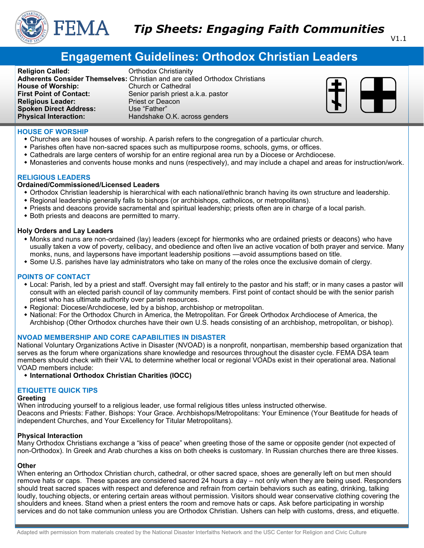

# **Engagement Guidelines: Orthodox Christian Leaders**

**Religion Called: Called: Called: Called: Called: Called: Called: Called: Called: Called: Called: Called: Called: Called: Called: Called: Called: Called: Called: Called: Called: Ca First Point of Contact:** Senior parish priest a.k.a. pastor **Religious Leader:** Priest or Deacon **Spoken Direct Address:** Use "Father" **Physical Interaction:** Handshake O.K. across genders

Adherents Consider Themselves: Christian and are called Orthodox Christians<br> **House of Worship:** Church or Cathedral **Church or Cathedral** 



# **HOUSE OF WORSHIP**

- Churches are local houses of worship. A parish refers to the congregation of a particular church.
- Parishes often have non-sacred spaces such as multipurpose rooms, schools, gyms, or offices.
- Cathedrals are large centers of worship for an entire regional area run by a Diocese or Archdiocese.
- Monasteries and convents house monks and nuns (respectively), and may include a chapel and areas for instruction/work.

# **RELIGIOUS LEADERS**

## **Ordained/Commissioned/Licensed Leaders**

- Orthodox Christian leadership is hierarchical with each national/ethnic branch having its own structure and leadership.
- Regional leadership generally falls to bishops (or archbishops, catholicos, or metropolitans).
- Priests and deacons provide sacramental and spiritual leadership; priests often are in charge of a local parish.
- Both priests and deacons are permitted to marry.

## **Holy Orders and Lay Leaders**

- Monks and nuns are non-ordained (lay) leaders (except for hiermonks who are ordained priests or deacons) who have usually taken a vow of poverty, celibacy, and obedience and often live an active vocation of both prayer and service. Many monks, nuns, and laypersons have important leadership positions —avoid assumptions based on title.
- Some U.S. parishes have lay administrators who take on many of the roles once the exclusive domain of clergy.

# **POINTS OF CONTACT**

- Local: Parish, led by a priest and staff. Oversight may fall entirely to the pastor and his staff; or in many cases a pastor will consult with an elected parish council of lay community members. First point of contact should be with the senior parish priest who has ultimate authority over parish resources.
- Regional: Diocese/Archdiocese, led by a bishop, archbishop or metropolitan.
- National: For the Orthodox Church in America, the Metropolitan. For Greek Orthodox Archdiocese of America, the Archbishop (Other Orthodox churches have their own U.S. heads consisting of an archbishop, metropolitan, or bishop).

# **NVOAD MEMBERSHIP AND CORE CAPABILITIES IN DISASTER**

National Voluntary Organizations Active in Disaster (NVOAD) is a nonprofit, nonpartisan, membership based organization that serves as the forum where organizations share knowledge and resources throughout the disaster cycle. FEMA DSA team members should check with their VAL to determine whether local or regional VOADs exist in their operational area. National VOAD members include:

**International Orthodox Christian Charities (IOCC)**

# **ETIQUETTE QUICK TIPS**

#### **Greeting**

When introducing yourself to a religious leader, use formal religious titles unless instructed otherwise. Deacons and Priests: Father. Bishops: Your Grace. Archbishops/Metropolitans: Your Eminence (Your Beatitude for heads of independent Churches, and Your Excellency for Titular Metropolitans).

#### **Physical Interaction**

Many Orthodox Christians exchange a "kiss of peace" when greeting those of the same or opposite gender (not expected of non-Orthodox). In Greek and Arab churches a kiss on both cheeks is customary. In Russian churches there are three kisses.

# **Other**

When entering an Orthodox Christian church, cathedral, or other sacred space, shoes are generally left on but men should remove hats or caps. These spaces are considered sacred 24 hours a day – not only when they are being used. Responders should treat sacred spaces with respect and deference and refrain from certain behaviors such as eating, drinking, talking loudly, touching objects, or entering certain areas without permission. Visitors should wear conservative clothing covering the shoulders and knees. Stand when a priest enters the room and remove hats or caps. Ask before participating in worship services and do not take communion unless you are Orthodox Christian. Ushers can help with customs, dress, and etiquette.